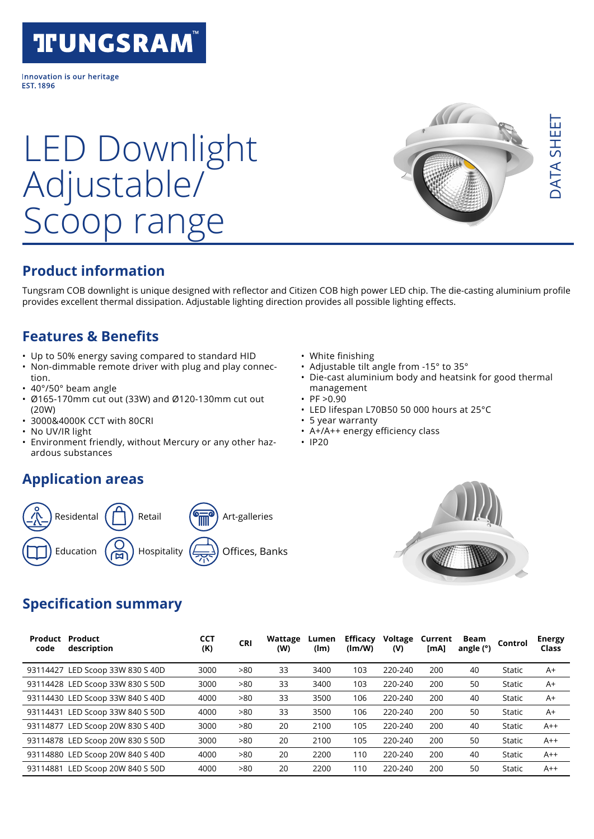# **TIUNGSRAM**

Innovation is our heritage **FST 1896** 

# LED Downlight Adjustable/ range

### **Product information**

Tungsram COB downlight is unique designed with reflector and Citizen COB high power LED chip. The die-casting aluminium profile provides excellent thermal dissipation. Adjustable lighting direction provides all possible lighting effects.

### **Features & Benefits**

- Up to 50% energy saving compared to standard HID
- Non-dimmable remote driver with plug and play connection.
- 40°/50° beam angle
- Ø165-170mm cut out (33W) and Ø120-130mm cut out (20W)
- 3000&4000K CCT with 80CRI
- No UV/IR light
- Environment friendly, without Mercury or any other hazardous substances

#### **Application areas**



#### • White finishing

- Adjustable tilt angle from -15° to 35°
- Die-cast aluminium body and heatsink for good thermal management
- $PF > 0.90$
- LED lifespan L70B50 50 000 hours at 25°C
- 5 year warranty
- A+/A++ energy efficiency class
- IP20



#### **Specification summary**

| Product<br>code | Product<br>description           | <b>CCT</b><br>(K) | <b>CRI</b> | Wattage<br>(W) | Lumen<br>(lm) | Efficacy<br>(lm/W) | Voltage<br>(V) | Current<br>[MA] | Beam<br>angle (°) | Control       | <b>Energy</b><br>Class |
|-----------------|----------------------------------|-------------------|------------|----------------|---------------|--------------------|----------------|-----------------|-------------------|---------------|------------------------|
| 93114427        | LED Scoop 33W 830 S 40D          | 3000              | >80        | 33             | 3400          | 103                | 220-240        | 200             | 40                | <b>Static</b> | $A+$                   |
|                 | 93114428 LED Scoop 33W 830 S 50D | 3000              | >80        | 33             | 3400          | 103                | 220-240        | 200             | 50                | Static        | $A+$                   |
|                 | 93114430 LED Scoop 33W 840 S 40D | 4000              | >80        | 33             | 3500          | 106                | 220-240        | 200             | 40                | <b>Static</b> | $A+$                   |
|                 | 93114431 LED Scoop 33W 840 S 50D | 4000              | >80        | 33             | 3500          | 106                | 220-240        | 200             | 50                | Static        | $A+$                   |
| 93114877        | LED Scoop 20W 830 S 40D          | 3000              | >80        | 20             | 2100          | 105                | 220-240        | 200             | 40                | Static        | $A++$                  |
|                 | 93114878 LED Scoop 20W 830 S 50D | 3000              | >80        | 20             | 2100          | 105                | 220-240        | 200             | 50                | Static        | $A++$                  |
|                 | 93114880 LED Scoop 20W 840 S 40D | 4000              | >80        | 20             | 2200          | 110                | 220-240        | 200             | 40                | Static        | $A++$                  |
| 93114881        | LED Scoop 20W 840 S 50D          | 4000              | >80        | 20             | 2200          | 110                | 220-240        | 200             | 50                | Static        | $A++$                  |

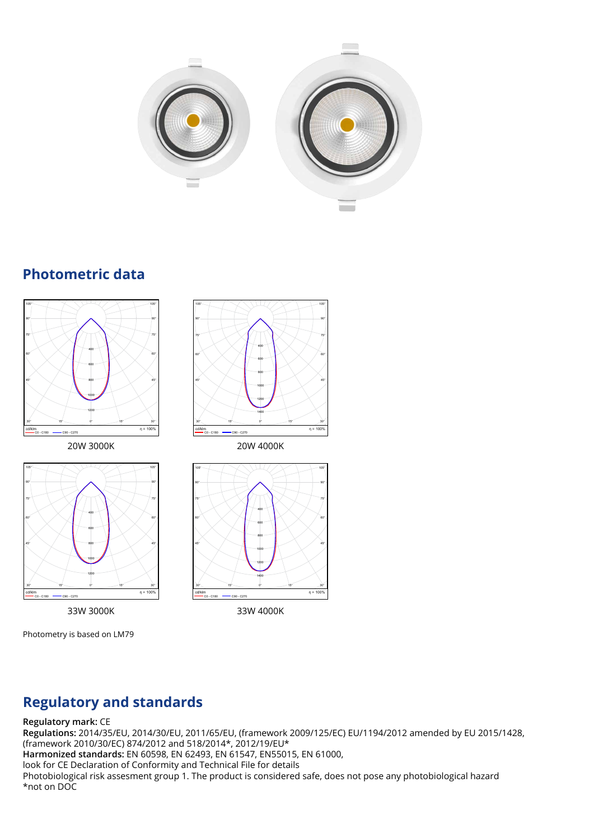

#### **Photometric data** <u>Prioton</u>





Photometry is based on LM79





# **Regulatory and standards**

#### **Regulatory mark:** CE

Page 1 **Harmonized standards:** EN 60598, EN 62493, EN 61547, EN55015, EN 61000, **Regulations:** 2014/35/EU, 2014/30/EU, 2011/65/EU, (framework 2009/125/EC) EU/1194/2012 amended by EU 2015/1428, (framework 2010/30/EC) 874/2012 and 518/2014\*, 2012/19/EU\* look for CE Declaration of Conformity and Technical File for details Photobiological risk assesment group 1. The product is considered safe, does not pose any photobiological hazard \*not on DOC